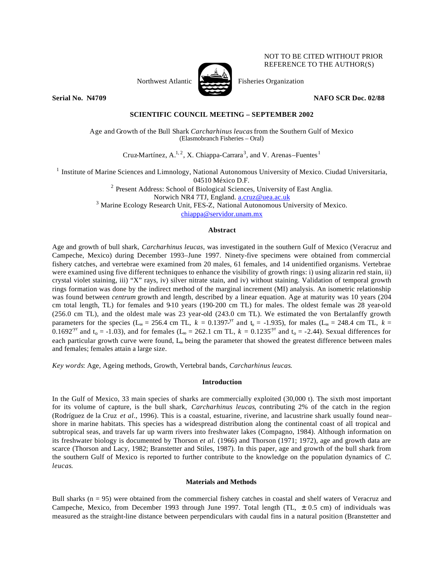

NOT TO BE CITED WITHOUT PRIOR REFERENCE TO THE AUTHOR(S)

**Serial No. N4709 NAFO SCR Doc. 02/88** 

**SCIENTIFIC COUNCIL MEETING – SEPTEMBER 2002**

Age and Growth of the Bull Shark *Carcharhinus leucas* from the Southern Gulf of Mexico (Elasmobranch Fisheries – Oral)

Cruz-Martínez,  $A^{1,2}$ , X. Chiappa-Carrara<sup>3</sup>, and V. Arenas–Fuentes<sup>1</sup>

<sup>1</sup> Institute of Marine Sciences and Limnology, National Autonomous University of Mexico. Ciudad Universitaria, 04510 México D.F.

 $2$  Present Address: School of Biological Sciences, University of East Anglia.

Norwich NR4 7TJ, England. a.cruz@uea.ac.uk

<sup>3</sup> Marine Ecology Research Unit, FES-Z, National Autonomous University of Mexico.

chiappa@servidor.unam.mx

## **Abstract**

Age and growth of bull shark, *Carcharhinus leucas,* was investigated in the southern Gulf of Mexico (Veracruz and Campeche, Mexico) during December 1993–June 1997. Ninety-five specimens were obtained from commercial fishery catches, and vertebrae were examined from 20 males, 61 females, and 14 unidentified organisms. Vertebrae were examined using five different techniques to enhance the visibility of growth rings: i) using alizarin red stain, ii) crystal violet staining, iii) "X" rays, iv) silver nitrate stain, and iv) without staining. Validation of temporal growth rings formation was done by the indirect method of the marginal increment (MI) analysis. An isometric relationship was found between *centrum* growth and length, described by a linear equation. Age at maturity was 10 years (204 cm total length, TL) for females and 9-10 years (190-200 cm TL) for males. The oldest female was 28 year-old (256.0 cm TL), and the oldest male was 23 year-old (243.0 cm TL). We estimated the von Bertalanffy growth parameters for the species (L<sub>∞</sub> = 256.4 cm TL,  $k = 0.1397$ -y<sup>r</sup> and  $t_0 = -1.935$ ), for males (L<sub>∞</sub> = 248.4 cm TL,  $k =$ 0.1692<sup>-yr</sup> and t<sub>0</sub> = -1.03), and for females (L<sub>∞</sub> = 262.1 cm TL,  $k = 0.1235^{yr}$  and t<sub>0</sub> = -2.44). Sexual differences for each particular growth curve were found, L<sub>∞</sub> being the parameter that showed the greatest difference between males and females; females attain a large size.

*Key words*: Age, Ageing methods, Growth, Vertebral bands, *Carcharhinus leucas*.

# **Introduction**

In the Gulf of Mexico, 33 main species of sharks are commercially exploited (30,000 t). The sixth most important for its volume of capture, is the bull shark, *Carcharhinus leucas*, contributing 2% of the catch in the region (Rodríguez de la Cruz *et al*., 1996). This is a coastal, estuarine, riverine, and lacustrine shark usually found near– shore in marine habitats. This species has a widespread distribution along the continental coast of all tropical and subtropical seas, and travels far up warm rivers into freshwater lakes (Compagno, 1984). Although information on its freshwater biology is documented by Thorson *et al*. (1966) and Thorson (1971; 1972), age and growth data are scarce (Thorson and Lacy, 1982; Branstetter and Stiles, 1987). In this paper, age and growth of the bull shark from the southern Gulf of Mexico is reported to further contribute to the knowledge on the population dynamics of *C. leucas*.

# **Materials and Methods**

Bull sharks (n = 95) were obtained from the commercial fishery catches in coastal and shelf waters of Veracruz and Campeche, Mexico, from December 1993 through June 1997. Total length (TL,  $\pm$  0.5 cm) of individuals was measured as the straight-line distance between perpendiculars with caudal fins in a natural position (Branstetter and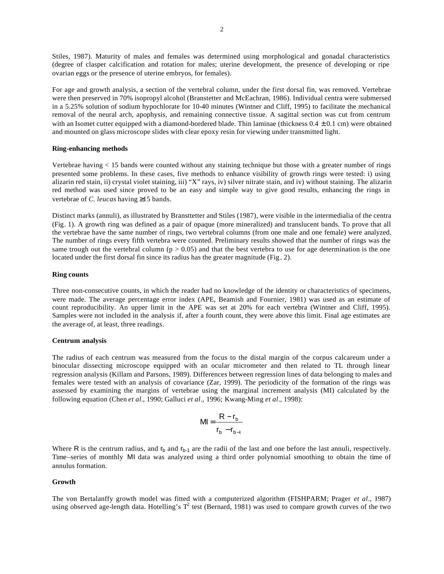Stiles, 1987). Maturity of males and females was determined using morphological and gonadal characteristics (degree of clasper calcification and rotation for males; uterine development, the presence of developing or ripe ovarian eggs or the presence of uterine embryos, for females).

For age and growth analysis, a section of the vertebral column, under the first dorsal fin, was removed. Vertebrae were then preserved in 70% isopropyl alcohol (Branstetter and McEachran, 1986). Individual centra were submersed in a 5.25% solution of sodium hypochlorate for 10-40 minutes (Wintner and Cliff, 1995) to facilitate the mechanical removal of the neural arch, apophysis, and remaining connective tissue. A sagittal section was cut from centrum with an Isomet cutter equipped with a diamond-bordered blade. Thin laminae (thickness  $0.4 \pm 0.1$  cm) were obtained and mounted on glass microscope slides with clear epoxy resin for viewing under transmitted light.

#### **Ring-enhancing methods**

Vertebrae having < 15 bands were counted without any staining technique but those with a greater number of rings presented some problems. In these cases, five methods to enhance visibility of growth rings were tested: i) using alizarin red stain, ii) crystal violet staining, iii) "X" rays, iv) silver nitrate stain, and iv) without staining. The alizarin red method was used since proved to be an easy and simple way to give good results, enhancing the rings in vertebrae of *C. leucas* having ≥15 bands.

Distinct marks (annuli), as illustrated by Bransttetter and Stiles (1987), were visible in the intermedialia of the centra (Fig. 1). A growth ring was defined as a pair of opaque (more mineralized) and translucent bands. To prove that all the vertebrae have the same number of rings, two vertebral columns (from one male and one female) were analyzed. The number of rings every fifth vertebra were counted. Preliminary results showed that the number of rings was the same trough out the vertebral column ( $p > 0.05$ ) and that the best vertebra to use for age determination is the one located under the first dorsal fin since its radius has the greater magnitude (Fig. 2).

## **Ring counts**

Three non-consecutive counts, in which the reader had no knowledge of the identity or characteristics of specimens, were made. The average percentage error index (APE, Beamish and Fournier, 1981) was used as an estimate of count reproducibility. An upper limit in the APE was set at 20% for each vertebra (Wintner and Cliff, 1995). Samples were not included in the analysis if, after a fourth count, they were above this limit. Final age estimates are the average of, at least, three readings.

### **Centrum analysis**

The radius of each centrum was measured from the focus to the distal margin of the corpus calcareum under a binocular dissecting microscope equipped with an ocular micrometer and then related to TL through linear regression analysis (Killam and Parsons, 1989). Differences between regression lines of data belonging to males and females were tested with an analysis of covariance (Zar, 1999). The periodicity of the formation of the rings was assessed by examining the margins of vertebrae using the marginal increment analysis (MI) calculated by the following equation (Chen *et al.*, 1990; Galluci *et al*., 1996; Kwang-Ming *et al*., 1998):

$$
MI = \frac{R - r_b}{r_b - r_{b-1}}
$$

Where R is the centrum radius, and  $r_b$  and  $r_{b-1}$  are the radii of the last and one before the last annuli, respectively. Time–series of monthly MI data was analyzed using a third order polynomial smoothing to obtain the time of annulus formation.

### **Growth**

The von Bertalanffy growth model was fitted with a computerized algorithm (FISHPARM; Prager *et al*., 1987) using observed age-length data. Hotelling's  $T^2$  test (Bernard, 1981) was used to compare growth curves of the two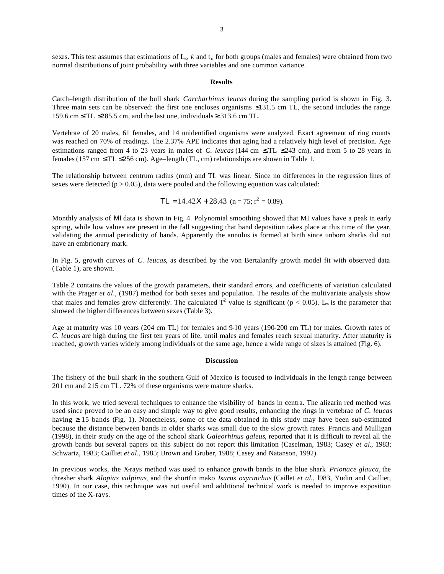sexes. This test assumes that estimations of  $L_{\infty}$ , *k* and  $t_0$  for both groups (males and females) were obtained from two normal distributions of joint probability with three variables and one common variance.

#### **Results**

Catch–length distribution of the bull shark *Carcharhinus leucas* during the sampling period is shown in Fig. 3. Three main sets can be observed: the first one encloses organisms ≤131.5 cm TL, the second includes the range 159.6 cm  $\leq$  TL  $\leq$ 285.5 cm, and the last one, individuals  $\geq$  313.6 cm TL.

Vertebrae of 20 males, 61 females, and 14 unidentified organisms were analyzed. Exact agreement of ring counts was reached on 70% of readings. The 2.37% APE indicates that aging had a relatively high level of precision. Age estimations ranged from 4 to 23 years in males of *C. leucas* (144 cm ≤ TL ≤243 cm), and from 5 to 28 years in females (157 cm  $\leq$  TL  $\leq$ 256 cm). Age–length (TL, cm) relationships are shown in Table 1.

The relationship between centrum radius (mm) and TL was linear. Since no differences in the regression lines of sexes were detected  $(p > 0.05)$ , data were pooled and the following equation was calculated:

$$
TL = 14.42X + 28.43 \text{ (n = 75; r2 = 0.89).
$$

Monthly analysis of MI data is shown in Fig. 4. Polynomial smoothing showed that MI values have a peak in early spring, while low values are present in the fall suggesting that band deposition takes place at this time of the year, validating the annual periodicity of bands. Apparently the annulus is formed at birth since unborn sharks did not have an embrionary mark.

In Fig. 5, growth curves of *C. leucas*, as described by the von Bertalanffy growth model fit with observed data (Table 1), are shown.

Table 2 contains the values of the growth parameters, their standard errors, and coefficients of variation calculated with the Prager *et al.*, (1987) method for both sexes and population. The results of the multivariate analysis show that males and females grow differently. The calculated  $T^2$  value is significant (p < 0.05). L<sub>∞</sub> is the parameter that showed the higher differences between sexes (Table 3).

Age at maturity was 10 years (204 cm TL) for females and 9-10 years (190-200 cm TL) for males. Growth rates of *C. leucas* are high during the first ten years of life, until males and females reach sexual maturity. After maturity is reached, growth varies widely among individuals of the same age, hence a wide range of sizes is attained (Fig. 6).

#### **Discussion**

The fishery of the bull shark in the southern Gulf of Mexico is focused to individuals in the length range between 201 cm and 215 cm TL. 72% of these organisms were mature sharks.

In this work, we tried several techniques to enhance the visibility of bands in centra. The alizarin red method was used since proved to be an easy and simple way to give good results, enhancing the rings in vertebrae of *C. leucas* having ≥ 15 bands (Fig. 1). Nonetheless, some of the data obtained in this study may have been sub-estimated because the distance between bands in older sharks was small due to the slow growth rates. Francis and Mulligan (1998), in their study on the age of the school shark *Galeorhinus galeus*, reported that it is difficult to reveal all the growth bands but several papers on this subject do not report this limitation (Caselman, 1983; Casey *et al.*, 1983; Schwartz, 1983; Cailliet *et al*., 1985; Brown and Gruber, 1988; Casey and Natanson, 1992).

In previous works, the X-rays method was used to enhance growth bands in the blue shark *Prionace glauca*, the thresher shark *Alopias vulpinus*, and the shortfin mako *Isurus oxyrinchus* (Caillet *et al.,* l983, Yudin and Cailliet, 1990). In our case, this technique was not useful and additional technical work is needed to improve exposition times of the X-rays.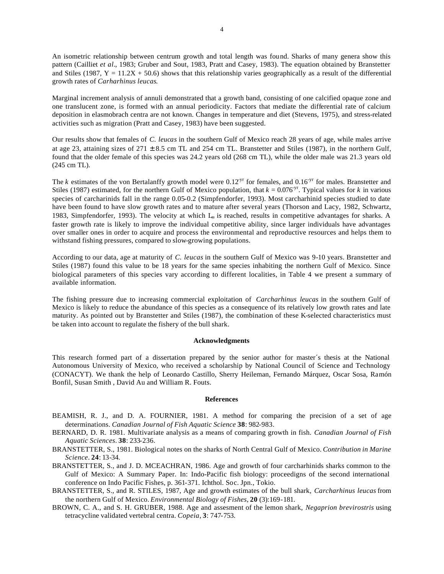An isometric relationship between centrum growth and total length was found. Sharks of many genera show this pattern (Cailliet *et al.*, 1983; Gruber and Sout, 1983, Pratt and Casey, 1983). The equation obtained by Branstetter and Stiles (1987,  $Y = 11.2X + 50.6$ ) shows that this relationship varies geographically as a result of the differential growth rates of *Carharhinus leucas*.

Marginal increment analysis of annuli demonstrated that a growth band, consisting of one calcified opaque zone and one translucent zone, is formed with an annual periodicity. Factors that mediate the differential rate of calcium deposition in elasmobrach centra are not known. Changes in temperature and diet (Stevens, 1975), and stress-related activities such as migration (Pratt and Casey, 1983) have been suggested.

Our results show that females of *C. leucas* in the southern Gulf of Mexico reach 28 years of age, while males arrive at age 23, attaining sizes of  $271 \pm 8.5$  cm TL and 254 cm TL. Branstetter and Stiles (1987), in the northern Gulf, found that the older female of this species was 24.2 years old (268 cm TL), while the older male was 21.3 years old (245 cm TL).

The *k* estimates of the von Bertalanffy growth model were  $0.12^{yr}$  for females, and  $0.16^{yr}$  for males. Branstetter and Stiles (1987) estimated, for the northern Gulf of Mexico population, that  $k = 0.076$ <sup>yr</sup>. Typical values for *k* in various species of carcharinids fall in the range 0.05-0.2 (Simpfendorfer, 1993). Most carcharhinid species studied to date have been found to have slow growth rates and to mature after several years (Thorson and Lacy, 1982, Schwartz, 1983, Simpfendorfer, 1993). The velocity at which L∞ is reached, results in competitive advantages for sharks. A faster growth rate is likely to improve the individual competitive ability, since larger individuals have advantages over smaller ones in order to acquire and process the environmental and reproductive resources and helps them to withstand fishing pressures, compared to slow-growing populations.

According to our data, age at maturity of *C. leucas* in the southern Gulf of Mexico was 9-10 years. Branstetter and Stiles (1987) found this value to be 18 years for the same species inhabiting the northern Gulf of Mexico. Since biological parameters of this species vary according to different localities, in Table 4 we present a summary of available information.

The fishing pressure due to increasing commercial exploitation of *Carcharhinus leucas* in the southern Gulf of Mexico is likely to reduce the abundance of this species as a consequence of its relatively low growth rates and late maturity. As pointed out by Branstetter and Stiles (1987), the combination of these K-selected characteristics must be taken into account to regulate the fishery of the bull shark.

#### **Acknowledgments**

This research formed part of a dissertation prepared by the senior author for master´s thesis at the National Autonomous University of Mexico, who received a scholarship by National Council of Science and Technology (CONACYT). We thank the help of Leonardo Castillo, Sherry Heileman, Fernando Márquez, Oscar Sosa, Ramón Bonfil, Susan Smith , David Au and William R. Fouts.

#### **References**

- BEAMISH, R. J., and D. A. FOURNIER, 1981. A method for comparing the precision of a set of age determinations. *Canadian Journal of Fish Aquatic Science* **38**: 982-983.
- BERNARD, D. R. 1981. Multivariate analysis as a means of comparing growth in fish. *Canadian Journal of Fish Aquatic Sciences*. **38**: 233-236.
- BRANSTETTER, S., 1981. Biological notes on the sharks of North Central Gulf of Mexico. *Contribution in Marine Science*. **24**: 13-34.
- BRANSTETTER, S., and J. D. MCEACHRAN, 1986. Age and growth of four carcharhinids sharks common to the Gulf of Mexico: A Summary Paper. In: Indo-Pacific fish biology: proceedigns of the second international conference on Indo Pacific Fishes, p. 361-371. Ichthol. Soc. Jpn., Tokio.
- BRANSTETTER, S., and R. STILES, 1987, Age and growth estimates of the bull shark, *Carcharhinus leucas* from the northern Gulf of Mexico. *Environmental Biology of Fishes*, **20** (3):169-181.
- BROWN, C. A., and S. H. GRUBER, 1988. Age and assesment of the lemon shark, *Negaprion brevirostris* using tetracycline validated vertebral centra. *Copeia*, **3**: 747-753.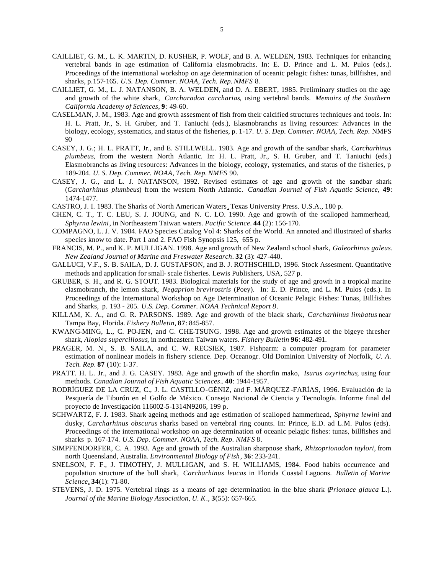- CAILLIET, G. M., L. K. MARTIN, D. KUSHER, P. WOLF, and B. A. WELDEN, 1983. Techniques for enhancing vertebral bands in age estimation of California elasmobrachs. In: E. D. Prince and L. M. Pulos (eds.). Proceedings of the international workshop on age determination of oceanic pelagic fishes: tunas, billfishes, and sharks, p.157-165*. U.S. Dep. Commer. NOAA, Tech. Rep.NMFS* 8.
- CAILLIET, G. M., L. J. NATANSON, B. A. WELDEN, and D. A. EBERT, 1985. Preliminary studies on the age and growth of the white shark, *Carcharadon carcharias*, using vertebral bands. *Memoirs of the Southern California Academy of Sciences*, **9**: 49-60.
- CASELMAN, J. M., 1983. Age and growth assesment of fish from their calcified structures techniques and tools. In: H. L. Pratt, Jr., S. H. Gruber, and T. Taniuchi (eds.), Elasmobranchs as living resources: Advances in the biology, ecology, systematics, and status of the fisheries, p. 1-17. *U. S. Dep. Commer. NOAA, Tech. Rep*. NMFS 90
- CASEY, J. G.; H. L. PRATT, Jr., and E. STILLWELL. 1983. Age and growth of the sandbar shark, *Carcharhinus plumbeus*, from the western North Atlantic. In: H. L. Pratt, Jr., S. H. Gruber, and T. Taniuchi (eds.) Elasmobranchs as living resources: Advances in the biology, ecology, systematics, and status of the fisheries, p 189-204. *U. S. Dep. Commer. NOAA, Tech. Rep. NMFS* 90.
- CASEY, J. G., and L. J. NATANSON, 1992. Revised estimates of age and growth of the sandbar shark (*Carcharhinus plumbeus*) from the western North Atlantic. *Canadian Journal of Fish Aquatic Science*, **49**: 1474-1477.
- CASTRO, J. I. 1983. The Sharks of North American Waters. Texas University Press. U.S.A., 180 p.
- CHEN, C. T., T. C. LEU, S. J. JOUNG, and N. C. LO. 1990. Age and growth of the scalloped hammerhead, *Sphyrna lewini*, in Northeastern Taiwan waters. *Pacific Science*. **44** (2): 156-170.
- COMPAGNO, L. J. V. 1984. FAO Species Catalog Vol 4: Sharks of the World. An annoted and illustrated of sharks species know to date. Part 1 and 2. FAO Fish Synopsis 125, 655 p.
- FRANCIS, M. P., and K. P. MULLIGAN. 1998. Age and growth of New Zealand school shark, *Galeorhinus galeus*. *New Zealand Journal of Marine and Freswater Research*. **32** (3): 427-440.
- GALLUCI, V.F., S. B. SAILA, D. J. GUSTAFSON, and B. J. ROTHSCHILD, 1996. Stock Assesment. Quantitative methods and application for small- scale fisheries. Lewis Publishers, USA, 527 p.
- GRUBER, S. H., and R. G. STOUT. 1983. Biological materials for the study of age and growth in a tropical marine elasmobranch, the lemon shark, *Negaprion brevirostris* (Poey). In: E. D. Prince, and L. M. Pulos (eds.). In Proceedings of the International Workshop on Age Determination of Oceanic Pelagic Fishes: Tunas, Billfishes and Sharks, p. 193 - 205. *U.S. Dep. Commer. NOAA Technical Report 8*.
- KILLAM, K. A., and G. R. PARSONS. 1989. Age and growth of the black shark, *Carcharhinus limbatus* near Tampa Bay, Florida. *Fishery Bulletin*, **87**: 845-857.
- KWANG-MING, L., C. PO-JEN, and C. CHE-TSUNG. 1998. Age and growth estimates of the bigeye thresher shark, *Alopias superciliosus*, in northeastern Taiwan waters. *Fishery Bulletin* **96**: 482-491.
- PRAGER, M. N., S. B. SAILA, and C. W. RECSIEK, 1987. Fishparm: a computer program for parameter estimation of nonlinear models in fishery science. Dep. Oceanogr. Old Dominion University of Norfolk, *U. A. Tech. Rep*. **87** (10): 1-37.
- PRATT. H. L. Jr., and J. G. CASEY. 1983. Age and growth of the shortfin mako, *Isurus oxyrinchus*, using four methods. *Canadian Journal of Fish Aquatic Sciences*.. **40**: 1944-1957.
- RODRÍGUEZ DE LA CRUZ, C., J. L. CASTILLO-GÉNIZ, and F. MÁRQUEZ -FARÍAS, 1996. Evaluación de la Pesquería de Tiburón en el Golfo de México. Consejo Nacional de Ciencia y Tecnología. Informe final del proyecto de Investigación 116002-5-1314N9206, 199 p.
- SCHWARTZ, F. J. 1983. Shark ageing methods and age estimation of scalloped hammerhead, *Sphyrna lewini* and dusky, *Carcharhinus obscurus* sharks based on vertebral ring counts. In: Prince, E.D. ad L.M. Pulos (eds). Proceedings of the international workshop on age determination of oceanic pelagic fishes: tunas, billfishes and sharks p. 167-174. *U.S. Dep. Commer. NOAA, Tech. Rep*. *NMFS* 8.
- SIMPFENDORFER, C. A. 1993. Age and growth of the Australian sharpnose shark, *Rhizoprionodon taylori*, from north Queensland, Australia. *Environmental Biology of Fish*, **36**: 233-241.
- SNELSON, F. F., J. TIMOTHY, J. MULLIGAN, and S. H. WILLIAMS, 1984. Food habits occurrence and population structure of the bull shark, *Carcharhinus leucas* in Florida Coastal Lagoons. *Bulletin of Marine Science*, **34**(1): 71-80.
- STEVENS, J. D. 1975. Vertebral rings as a means of age determination in the blue shark (*Prionace glauca* L.). *Journal of the Marine Biology Association, U. K*., **3**(55): 657-665.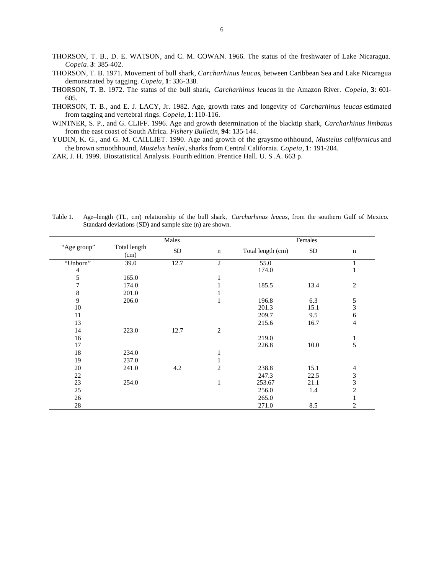- THORSON, T. B., D. E. WATSON, and C. M. COWAN. 1966. The status of the freshwater of Lake Nicaragua. *Copeia*. **3**: 385-402.
- THORSON, T. B. 1971. Movement of bull shark, *Carcharhinus leucas*, between Caribbean Sea and Lake Nicaragua demonstrated by tagging. *Copeia*, **1**: 336-338.
- THORSON, T. B. 1972. The status of the bull shark, *Carcharhinus leucas* in the Amazon River. *Copeia*, **3**: 601- 605.
- THORSON, T. B., and E. J. LACY, Jr. 1982. Age, growth rates and longevity of *Carcharhinus leucas* estimated from tagging and vertebral rings. *Copeia*, **1**: 110-116.
- WINTNER, S. P., and G. CLIFF. 1996. Age and growth determination of the blacktip shark, *Carcharhinus limbatus* from the east coast of South Africa. *Fishery Bulletin*, **94**: 135-144.
- YUDIN, K. G., and G. M. CAILLIET. 1990. Age and growth of the graysmo othhound, *Mustelus californicus* and the brown smoothhound, *Mustelus henlei*, sharks from Central California. *Copeia*, **1**: 191-204.
- ZAR, J. H. 1999. Biostatistical Analysis. Fourth edition. Prentice Hall. U. S .A. 663 p.

|                  | Males                |            |                | Females           |           |                         |
|------------------|----------------------|------------|----------------|-------------------|-----------|-------------------------|
| "Age group"      | Total length<br>(cm) | ${\rm SD}$ | $\mathbf n$    | Total length (cm) | <b>SD</b> | $\mathbf n$             |
| "Unborn"         | 39.0                 | 12.7       | $\overline{c}$ | 55.0              |           |                         |
| 4                |                      |            |                | 174.0             |           | 1                       |
| $\sqrt{5}$       | 165.0                |            |                |                   |           |                         |
| $\boldsymbol{7}$ | 174.0                |            |                | 185.5             | 13.4      | 2                       |
| $\,8\,$          | 201.0                |            |                |                   |           |                         |
| $\overline{9}$   | 206.0                |            |                | 196.8             | 6.3       | 5                       |
| 10               |                      |            |                | 201.3             | 15.1      | $\overline{\mathbf{3}}$ |
| 11               |                      |            |                | 209.7             | 9.5       | 6                       |
| 13               |                      |            |                | 215.6             | 16.7      | 4                       |
| 14               | 223.0                | 12.7       | $\overline{c}$ |                   |           |                         |
| 16               |                      |            |                | 219.0             |           | 1                       |
| 17               |                      |            |                | 226.8             | 10.0      | 5                       |
| 18               | 234.0                |            |                |                   |           |                         |
| 19               | 237.0                |            |                |                   |           |                         |
| 20               | 241.0                | 4.2        | $\overline{c}$ | 238.8             | 15.1      | $\overline{4}$          |
| 22               |                      |            |                | 247.3             | 22.5      |                         |
| 23               | 254.0                |            | 1              | 253.67            | 21.1      | $\frac{3}{3}$           |
| 25               |                      |            |                | 256.0             | 1.4       | 2                       |
| 26               |                      |            |                | 265.0             |           |                         |
| 28               |                      |            |                | 271.0             | 8.5       | 2                       |

Table 1. Age–length (TL, cm) relationship of the bull shark, *Carcharhinus leucas*, from the southern Gulf of Mexico. Standard deviations (SD) and sample size (n) are shown.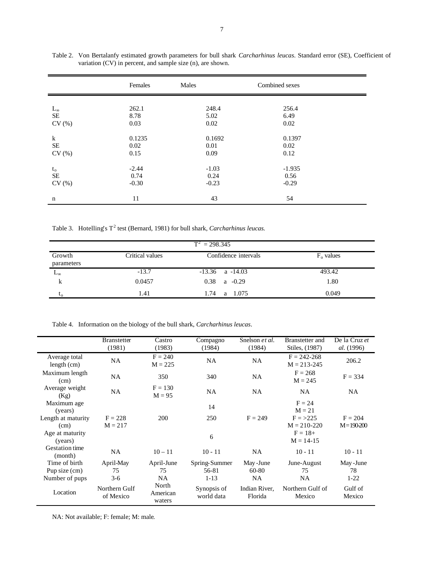|              | Females | Males   | Combined sexes |
|--------------|---------|---------|----------------|
| $L_{\infty}$ | 262.1   | 248.4   | 256.4          |
| SE           | 8.78    | 5.02    | 6.49           |
| CV(%)        | 0.03    | 0.02    | 0.02           |
| $\bf k$      | 0.1235  | 0.1692  | 0.1397         |
| <b>SE</b>    | 0.02    | 0.01    | 0.02           |
| CV(%)        | 0.15    | 0.09    | 0.12           |
| $t_{o}$      | $-2.44$ | $-1.03$ | $-1.935$       |
| <b>SE</b>    | 0.74    | 0.24    | 0.56           |
| CV(%)        | $-0.30$ | $-0.23$ | $-0.29$        |
| n            | 11      | 43      | 54             |

Table 2. Von Bertalanfy estimated growth parameters for bull shark *Carcharhinus leucas*. Standard error (SE), Coefficient of variation (CV) in percent, and sample size (n), are shown.

Table 3. Hotelling's  $T^2$  test (Bernard, 1981) for bull shark, *Carcharhinus leucas*.

| $T^2 = 298.345$      |                 |                      |              |  |  |
|----------------------|-----------------|----------------------|--------------|--|--|
| Growth<br>parameters | Critical values | Confidence intervals | $F_0$ values |  |  |
| $L_{\infty}$         | $-13.7$         | $-13.36$ a $-14.03$  | 493.42       |  |  |
| $\bf k$              | 0.0457          | 0.38<br>$a -0.29$    | 1.80         |  |  |
| $\mathfrak{c}_0$     | 1.41            | 1.74<br>1.075<br>a   | 0.049        |  |  |

Table 4. Information on the biology of the bull shark, *Carcharhinus leucas*.

|                                  | <b>Branstetter</b>         | Castro                      | Compagno                  | Snelson et al.           | Branstetter and                    | De la Cruz et              |
|----------------------------------|----------------------------|-----------------------------|---------------------------|--------------------------|------------------------------------|----------------------------|
|                                  | (1981)                     | (1983)                      | (1984)                    | (1984)                   | Stiles, (1987)                     | al. (1996)                 |
| Average total<br>length (cm)     | <b>NA</b>                  | $F = 240$<br>$M = 225$      | NA                        | <b>NA</b>                | $F = 242 - 268$<br>$M = 213 - 245$ | 206.2                      |
| Maximum length<br>(cm)           | <b>NA</b>                  | 350                         | 340                       | <b>NA</b>                | $F = 268$<br>$M = 245$             | $F = 334$                  |
| Average weight<br>(Kg)           | <b>NA</b>                  | $F = 130$<br>$M = 95$       | <b>NA</b>                 | <b>NA</b>                | <b>NA</b>                          | <b>NA</b>                  |
| Maximum age<br>(years)           |                            |                             | 14                        |                          | $F = 24$<br>$M = 21$               |                            |
| Length at maturity<br>(cm)       | $F = 228$<br>$M = 217$     | 200                         | 250                       | $F = 249$                | $F = >225$<br>$M = 210 - 220$      | $F = 204$<br>$M = 190-200$ |
| Age at maturity<br>(years)       |                            |                             | 6                         |                          | $F = 18+$<br>$M = 14-15$           |                            |
| <b>Gestation time</b><br>(month) | <b>NA</b>                  | $10 - 11$                   | $10 - 11$                 | <b>NA</b>                | $10 - 11$                          | $10 - 11$                  |
| Time of birth                    | April-May                  | April-June                  | Spring-Summer             | May-June                 | June-August                        | May -June                  |
| Pup size (cm)                    | 75                         | 75                          | 56-81                     | 60-80                    | 75                                 | 78                         |
| Number of pups                   | $3-6$                      | <b>NA</b>                   | $1-13$                    | <b>NA</b>                | <b>NA</b>                          | $1-22$                     |
| Location                         | Northern Gulf<br>of Mexico | North<br>American<br>waters | Synopsis of<br>world data | Indian River,<br>Florida | Northern Gulf of<br>Mexico         | Gulf of<br>Mexico          |

NA: Not available; F: female; M: male.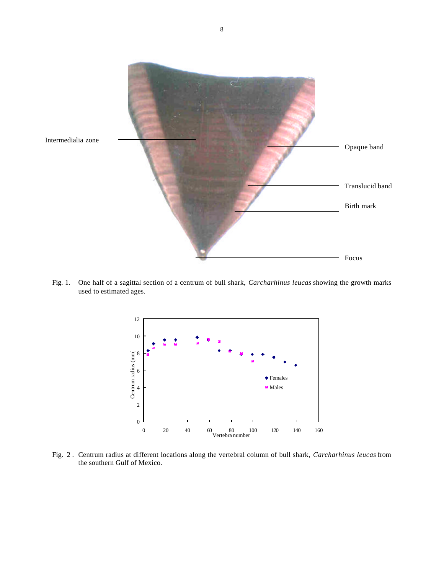

Fig. 1. One half of a sagittal section of a centrum of bull shark, *Carcharhinus leucas* showing the growth marks used to estimated ages.



Fig. 2 . Centrum radius at different locations along the vertebral column of bull shark, *Carcharhinus leucas* from the southern Gulf of Mexico.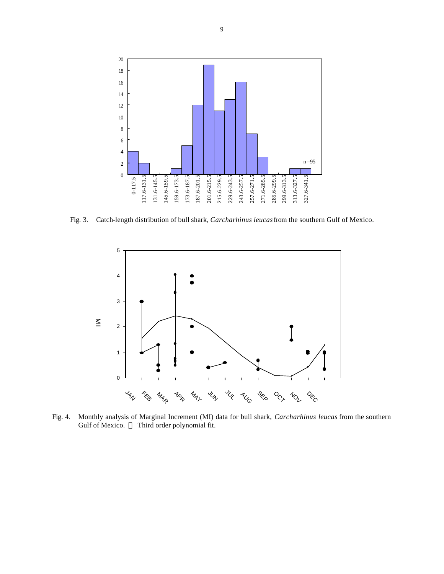

Fig. 3. Catch-length distribution of bull shark, *Carcharhinus leucas* from the southern Gulf of Mexico.



Fig. 4. Monthly analysis of Marginal Increment (MI) data for bull shark, *Carcharhinus leucas* from the southern Gulf of Mexico. **¾** Third order polynomial fit.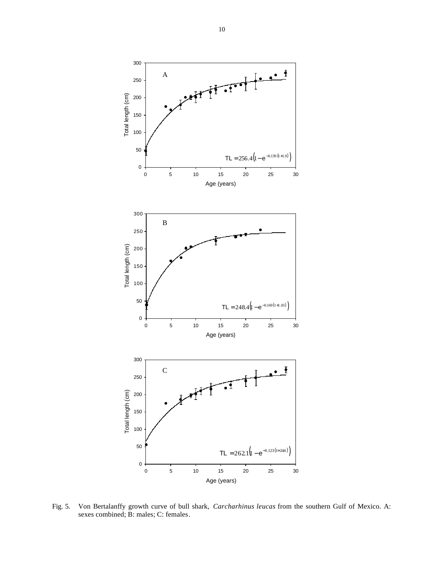

Fig. 5. Von Bertalanffy growth curve of bull shark, *Carcharhinus leucas* from the southern Gulf of Mexico. A: sexes combined; B: males; C: females.